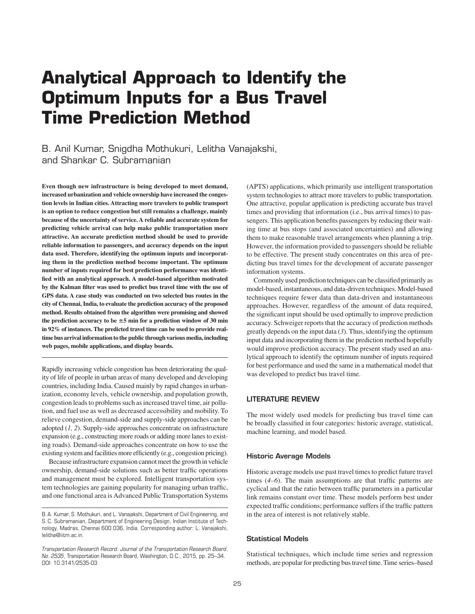# **Analytical Approach to Identify the Optimum Inputs for a Bus Travel Time Prediction Method**

B. Anil Kumar, Snigdha Mothukuri, Lelitha Vanajakshi, and Shankar C. Subramanian

**Even though new infrastructure is being developed to meet demand, increased urbanization and vehicle ownership have increased the congestion levels in Indian cities. Attracting more travelers to public transport is an option to reduce congestion but still remains a challenge, mainly because of the uncertainty of service. A reliable and accurate system for predicting vehicle arrival can help make public transportation more attractive. An accurate prediction method should be used to provide reliable information to passengers, and accuracy depends on the input data used. Therefore, identifying the optimum inputs and incorporating them in the prediction method become important. The optimum number of inputs required for best prediction performance was identified with an analytical approach. A model-based algorithm motivated by the Kalman filter was used to predict bus travel time with the use of GPS data. A case study was conducted on two selected bus routes in the city of Chennai, India, to evaluate the prediction accuracy of the proposed method. Results obtained from the algorithm were promising and showed**  the prediction accuracy to be  $\pm 5$  min for a prediction window of 30 min **in 92% of instances. The predicted travel time can be used to provide realtime bus arrival information to the public through various media, including web pages, mobile applications, and display boards.**

Rapidly increasing vehicle congestion has been deteriorating the quality of life of people in urban areas of many developed and developing countries, including India. Caused mainly by rapid changes in urbanization, economy levels, vehicle ownership, and population growth, congestion leads to problems such as increased travel time, air pollution, and fuel use as well as decreased accessibility and mobility. To relieve congestion, demand-side and supply-side approaches can be adopted (*1, 2*). Supply-side approaches concentrate on infrastructure expansion (e.g., constructing more roads or adding more lanes to existing roads). Demand-side approaches concentrate on how to use the existing system and facilities more efficiently (e.g., congestion pricing).

Because infrastructure expansion cannot meet the growth in vehicle ownership, demand-side solutions such as better traffic operations and management must be explored. Intelligent transportation system technologies are gaining popularity for managing urban traffic, and one functional area is Advanced Public Transportation Systems (APTS) applications, which primarily use intelligent transportation system technologies to attract more travelers to public transportation. One attractive, popular application is predicting accurate bus travel times and providing that information (i.e., bus arrival times) to passengers. This application benefits passengers by reducing their waiting time at bus stops (and associated uncertainties) and allowing them to make reasonable travel arrangements when planning a trip. However, the information provided to passengers should be reliable to be effective. The present study concentrates on this area of predicting bus travel times for the development of accurate passenger information systems.

Commonly used prediction techniques can be classified primarily as model-based, instantaneous, and data-driven techniques. Model-based techniques require fewer data than data-driven and instantaneous approaches. However, regardless of the amount of data required, the significant input should be used optimally to improve prediction accuracy. Schweiger reports that the accuracy of prediction methods greatly depends on the input data (*3*). Thus, identifying the optimum input data and incorporating them in the prediction method hopefully would improve prediction accuracy. The present study used an analytical approach to identify the optimum number of inputs required for best performance and used the same in a mathematical model that was developed to predict bus travel time.

## LITERATURE REVIEW

The most widely used models for predicting bus travel time can be broadly classified in four categories: historic average, statistical, machine learning, and model based.

## Historic Average Models

Historic average models use past travel times to predict future travel times (*4–6*). The main assumptions are that traffic patterns are cyclical and that the ratio between traffic parameters in a particular link remains constant over time. These models perform best under expected traffic conditions; performance suffers if the traffic pattern in the area of interest is not relatively stable.

## Statistical Models

Statistical techniques, which include time series and regression methods, are popular for predicting bus travel time. Time series–based

B. A. Kumar, S. Mothukuri, and L. Vanajakshi, Department of Civil Engineering, and S. C. Subramanian, Department of Engineering Design, Indian Institute of Technology, Madras, Chennai 600 036, India. Corresponding author: L. Vanajakshi, lelitha@iitm.ac.in.

*Transportation Research Record: Journal of the Transportation Research Board, No. 2535,* Transportation Research Board, Washington, D.C., 2015, pp. 25–34. DOI: 10.3141/2535-03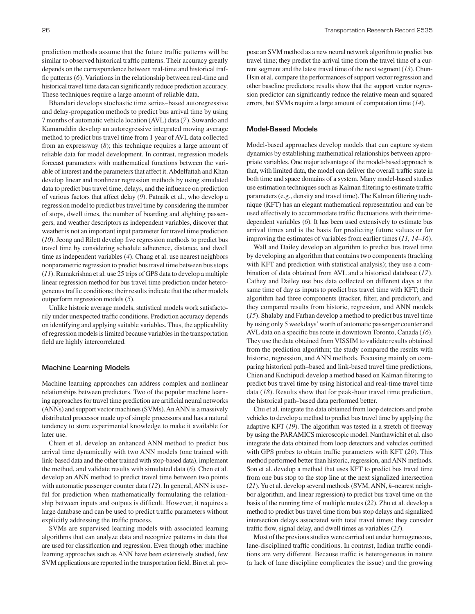prediction methods assume that the future traffic patterns will be similar to observed historical traffic patterns. Their accuracy greatly depends on the correspondence between real-time and historical traffic patterns (*6*). Variations in the relationship between real-time and historical travel time data can significantly reduce prediction accuracy. These techniques require a large amount of reliable data.

Bhandari develops stochastic time series–based autoregressive and delay-propagation methods to predict bus arrival time by using 7 months of automatic vehicle location (AVL) data (*7*). Suwardo and Kamaruddin develop an autoregressive integrated moving average method to predict bus travel time from 1 year of AVL data collected from an expressway (*8*); this technique requires a large amount of reliable data for model development. In contrast, regression models forecast parameters with mathematical functions between the variable of interest and the parameters that affect it. Abdelfattah and Khan develop linear and nonlinear regression methods by using simulated data to predict bus travel time, delays, and the influence on prediction of various factors that affect delay (*9*). Patnaik et al., who develop a regression model to predict bus travel time by considering the number of stops, dwell times, the number of boarding and alighting passengers, and weather descriptors as independent variables, discover that weather is not an important input parameter for travel time prediction (*10*). Jeong and Rilett develop five regression methods to predict bus travel time by considering schedule adherence, distance, and dwell time as independent variables (*4*). Chang et al. use nearest neighbors nonparametric regression to predict bus travel time between bus stops (*11*). Ramakrishna et al. use 25 trips of GPS data to develop a multiple linear regression method for bus travel time prediction under heterogeneous traffic conditions; their results indicate that the other models outperform regression models (*5*).

Unlike historic average models, statistical models work satisfactorily under unexpected traffic conditions. Prediction accuracy depends on identifying and applying suitable variables. Thus, the applicability of regression models is limited because variables in the transportation field are highly intercorrelated.

#### Machine Learning Models

Machine learning approaches can address complex and nonlinear relationships between predictors. Two of the popular machine learning approaches for travel time prediction are artificial neural networks (ANNs) and support vector machines (SVMs). An ANN is a massively distributed processor made up of simple processors and has a natural tendency to store experimental knowledge to make it available for later use.

Chien et al. develop an enhanced ANN method to predict bus arrival time dynamically with two ANN models (one trained with link-based data and the other trained with stop-based data), implement the method, and validate results with simulated data (*6*). Chen et al. develop an ANN method to predict travel time between two points with automatic passenger counter data (*12*). In general, ANN is useful for prediction when mathematically formulating the relationship between inputs and outputs is difficult. However, it requires a large database and can be used to predict traffic parameters without explicitly addressing the traffic process.

SVMs are supervised learning models with associated learning algorithms that can analyze data and recognize patterns in data that are used for classification and regression. Even though other machine learning approaches such as ANN have been extensively studied, few SVM applications are reported in the transportation field. Bin et al. propose an SVM method as a new neural network algorithm to predict bus travel time; they predict the arrival time from the travel time of a current segment and the latest travel time of the next segment (*13*). Chun-Hsin et al. compare the performances of support vector regression and other baseline predictors; results show that the support vector regression predictor can significantly reduce the relative mean and squared errors, but SVMs require a large amount of computation time (*14*).

## Model-Based Models

Model-based approaches develop models that can capture system dynamics by establishing mathematical relationships between appropriate variables. One major advantage of the model-based approach is that, with limited data, the model can deliver the overall traffic state in both time and space domains of a system. Many model-based studies use estimation techniques such as Kalman filtering to estimate traffic parameters (e.g., density and travel time). The Kalman filtering technique (KFT) has an elegant mathematical representation and can be used effectively to accommodate traffic fluctuations with their timedependent variables (*6*). It has been used extensively to estimate bus arrival times and is the basis for predicting future values or for improving the estimates of variables from earlier times (*11, 14–16*).

Wall and Dailey develop an algorithm to predict bus travel time by developing an algorithm that contains two components (tracking with KFT and prediction with statistical analysis); they use a combination of data obtained from AVL and a historical database (*17*). Cathey and Dailey use bus data collected on different days at the same time of day as inputs to predict bus travel time with KFT; their algorithm had three components (tracker, filter, and predictor), and they compared results from historic, regression, and ANN models (*15*). Shalaby and Farhan develop a method to predict bus travel time by using only 5 weekdays' worth of automatic passenger counter and AVL data on a specific bus route in downtown Toronto, Canada (*16*). They use the data obtained from VISSIM to validate results obtained from the prediction algorithm; the study compared the results with historic, regression, and ANN methods. Focusing mainly on comparing historical path–based and link-based travel time predictions, Chien and Kuchipudi develop a method based on Kalman filtering to predict bus travel time by using historical and real-time travel time data (*18*). Results show that for peak-hour travel time prediction, the historical path–based data performed better.

Chu et al. integrate the data obtained from loop detectors and probe vehicles to develop a method to predict bus travel time by applying the adaptive KFT (*19*). The algorithm was tested in a stretch of freeway by using the PARAMICS microscopic model. Nanthawichit et al. also integrate the data obtained from loop detectors and vehicles outfitted with GPS probes to obtain traffic parameters with KFT (*20*). This method performed better than historic, regression, and ANN methods. Son et al. develop a method that uses KFT to predict bus travel time from one bus stop to the stop line at the next signalized intersection (*21*). Yu et al. develop several methods (SVM, ANN, *k*–nearest neighbor algorithm, and linear regression) to predict bus travel time on the basis of the running time of multiple routes (*22*). Zhu et al. develop a method to predict bus travel time from bus stop delays and signalized intersection delays associated with total travel times; they consider traffic flow, signal delay, and dwell times as variables (*23*).

Most of the previous studies were carried out under homogeneous, lane-disciplined traffic conditions. In contrast, Indian traffic conditions are very different. Because traffic is heterogeneous in nature (a lack of lane discipline complicates the issue) and the growing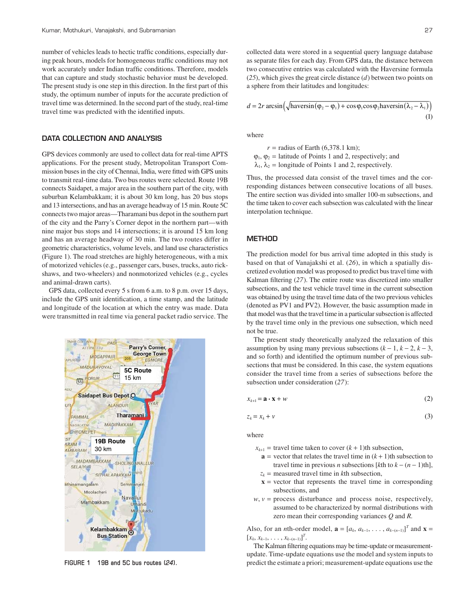number of vehicles leads to hectic traffic conditions, especially during peak hours, models for homogeneous traffic conditions may not work accurately under Indian traffic conditions. Therefore, models that can capture and study stochastic behavior must be developed. The present study is one step in this direction. In the first part of this study, the optimum number of inputs for the accurate prediction of travel time was determined. In the second part of the study, real-time travel time was predicted with the identified inputs.

#### DATA COLLECTION AND ANALYSIS

GPS devices commonly are used to collect data for real-time APTS applications. For the present study, Metropolitan Transport Commission buses in the city of Chennai, India, were fitted with GPS units to transmit real-time data. Two bus routes were selected. Route 19B connects Saidapet, a major area in the southern part of the city, with suburban Kelambakkam; it is about 30 km long, has 20 bus stops and 13 intersections, and has an average headway of 15 min. Route 5C connects two major areas—Tharamani bus depot in the southern part of the city and the Parry's Corner depot in the northern part—with nine major bus stops and 14 intersections; it is around 15 km long and has an average headway of 30 min. The two routes differ in geometric characteristics, volume levels, and land use characteristics (Figure 1). The road stretches are highly heterogeneous, with a mix of motorized vehicles (e.g., passenger cars, buses, trucks, auto rickshaws, and two-wheelers) and nonmotorized vehicles (e.g., cycles and animal-drawn carts).

GPS data, collected every 5 s from 6 a.m. to 8 p.m. over 15 days, include the GPS unit identification, a time stamp, and the latitude and longitude of the location at which the entry was made. Data were transmitted in real time via general packet radio service. The



**FIGURE 1 19B and 5C bus routes (***24***).**

collected data were stored in a sequential query language database as separate files for each day. From GPS data, the distance between two consecutive entries was calculated with the Haversine formula (*25*), which gives the great circle distance (*d*) between two points on a sphere from their latitudes and longitudes:

$$
d = 2r \arcsin\left(\sqrt{\text{haversin}(\varphi_2 - \varphi_1) + \cos \varphi_1 \cos \varphi_2 \text{haversin}(\lambda_2 - \lambda_1)}\right)
$$
\n(1)

where

 $r =$  radius of Earth (6,378.1 km);  $\varphi_1$ ,  $\varphi_2$  = latitude of Points 1 and 2, respectively; and

 $\lambda_1, \lambda_2$  = longitude of Points 1 and 2, respectively.

Thus, the processed data consist of the travel times and the corresponding distances between consecutive locations of all buses. The entire section was divided into smaller 100-m subsections, and the time taken to cover each subsection was calculated with the linear interpolation technique.

## **METHOD**

The prediction model for bus arrival time adopted in this study is based on that of Vanajakshi et al. (*26*), in which a spatially discretized evolution model was proposed to predict bus travel time with Kalman filtering (*27*). The entire route was discretized into smaller subsections, and the test vehicle travel time in the current subsection was obtained by using the travel time data of the two previous vehicles (denoted as PV1 and PV2). However, the basic assumption made in that model was that the travel time in a particular subsection is affected by the travel time only in the previous one subsection, which need not be true.

The present study theoretically analyzed the relaxation of this assumption by using many previous subsections  $(k - 1, k - 2, k - 3,$ and so forth) and identified the optimum number of previous subsections that must be considered. In this case, the system equations consider the travel time from a series of subsections before the subsection under consideration (*27*):

$$
x_{k+1} = \mathbf{a} \cdot \mathbf{x} + w \tag{2}
$$

$$
z_k = x_k + v \tag{3}
$$

where

- $x_{k+1}$  = travel time taken to cover  $(k + 1)$ th subsection,
	- $\mathbf{a}$  = vector that relates the travel time in  $(k+1)$ th subsection to travel time in previous *n* subsections [*k*th to  $k - (n-1)$ th],
- $z_k$  = measured travel time in *k*th subsection,
- **= vector that represents the travel time in corresponding** subsections, and
- $w, v =$  process disturbance and process noise, respectively, assumed to be characterized by normal distributions with zero mean their corresponding variances *Q* and *R.*

Also, for an *n*th-order model,  $\mathbf{a} = [a_k, a_{k-1}, \dots, a_{k-(n-1)}]^T$  and  $\mathbf{x} =$  $[x_k, x_{k-1}, \ldots, x_{k-(n-1)}]^T$ .

The Kalman filtering equations may be time-update or measurementupdate. Time-update equations use the model and system inputs to predict the estimate a priori; measurement-update equations use the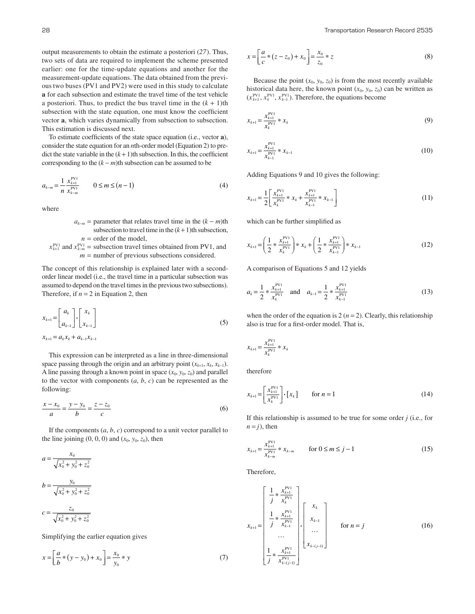output measurements to obtain the estimate a posteriori (*27*). Thus, two sets of data are required to implement the scheme presented earlier: one for the time-update equations and another for the measurement-update equations. The data obtained from the previous two buses (PV1 and PV2) were used in this study to calculate **a** for each subsection and estimate the travel time of the test vehicle a posteriori. Thus, to predict the bus travel time in the  $(k + 1)$ th subsection with the state equation, one must know the coefficient vector **a**, which varies dynamically from subsection to subsection. This estimation is discussed next.

To estimate coefficients of the state space equation (i.e., vector **a**), consider the state equation for an *n*th-order model (Equation 2) to predict the state variable in the  $(k + 1)$ th subsection. In this, the coefficient corresponding to the  $(k - m)$ th subsection can be assumed to be

$$
a_{k-m} = \frac{1}{n} \frac{x_{k+1}^{\text{PV1}}}{x_{k-m}^{\text{PV1}}} \qquad 0 \le m \le (n-1)
$$
 (4)

where

- $a_{k-m}$  = parameter that relates travel time in the  $(k m)$ th subsection to travel time in the  $(k+1)$ th subsection,  $n =$  order of the model,
- $x_{k+1}^{\text{PV1}}$  and  $x_{k-m}^{\text{PV1}}$  = subsection travel times obtained from PV1, and  $m =$  number of previous subsections considered.

The concept of this relationship is explained later with a secondorder linear model (i.e., the travel time in a particular subsection was assumed to depend on the travel times in the previous two subsections). Therefore, if  $n = 2$  in Equation 2, then

$$
x_{k+1} = \begin{bmatrix} a_k \\ a_{k-1} \end{bmatrix} \cdot \begin{bmatrix} x_k \\ x_{k-1} \end{bmatrix} \tag{5}
$$

 $x_{k+1} = a_k x_k + a_{k-1} x_{k-1}$ 

This expression can be interpreted as a line in three-dimensional space passing through the origin and an arbitrary point  $(x_{k+1}, x_k, x_{k-1})$ . A line passing through a known point in space  $(x_0, y_0, z_0)$  and parallel to the vector with components (*a*, *b*, *c*) can be represented as the following:

$$
\frac{x - x_0}{a} = \frac{y - y_0}{b} = \frac{z - z_0}{c}
$$
 (6)

If the components  $(a, b, c)$  correspond to a unit vector parallel to the line joining  $(0, 0, 0)$  and  $(x_0, y_0, z_0)$ , then

$$
a = \frac{x_0}{\sqrt{x_0^2 + y_0^2 + z_0^2}}
$$

$$
b = \frac{y_0}{\sqrt{x_0^2 + y_0^2 + z_0^2}}
$$

$$
c = \frac{z_0}{\sqrt{x_0^2 + y_0^2 + z_0^2}}
$$

Simplifying the earlier equation gives

$$
x = \left[\frac{a}{b} * (y - y_0) + x_0\right] = \frac{x_0}{y_0} * y \tag{7}
$$

$$
x = \left[\frac{a}{c} * (z - z_0) + x_0\right] = \frac{x_0}{z_0} * z
$$
 (8)

Because the point  $(x_0, y_0, z_0)$  is from the most recently available historical data here, the known point  $(x_0, y_0, z_0)$  can be written as  $(x_{k+1}^{\text{PV1}}, x_k^{\text{PV1}}, x_{k-1}^{\text{PV1}})$ . Therefore, the equations become

$$
x_{k+1} = \frac{x_{k+1}^{\text{PV1}}}{x_k^{\text{PV1}}} * x_k \tag{9}
$$

$$
x_{k+1} = \frac{x_{k+1}^{\text{PV1}}}{x_{k-1}^{\text{PV1}}} * x_{k-1}
$$
 (10)

Adding Equations 9 and 10 gives the following:

$$
x_{k+1} = \frac{1}{2} \left[ \frac{x_{k+1}^{\text{PV1}}}{x_k^{\text{PV1}}} * x_k + \frac{x_{k+1}^{\text{PV1}}}{x_{k-1}^{\text{PV1}}} * x_{k-1} \right] \tag{11}
$$

which can be further simplified as

$$
x_{k+1} = \left(\frac{1}{2} * \frac{x_{k+1}^{\text{PV1}}}{x_k^{\text{PV1}}}\right) * x_k + \left(\frac{1}{2} * \frac{x_{k+1}^{\text{PV1}}}{x_{k-1}^{\text{PV1}}}\right) * x_{k-1}
$$
(12)

A comparison of Equations 5 and 12 yields

$$
a_k = \frac{1}{2} * \frac{x_{k+1}^{\text{PV1}}}{x_k^{\text{PV1}}} \quad \text{and} \quad a_{k-1} = \frac{1}{2} * \frac{x_{k+1}^{\text{PV1}}}{x_{k-1}^{\text{PV1}}} \tag{13}
$$

when the order of the equation is  $2 (n = 2)$ . Clearly, this relationship also is true for a first-order model. That is,

$$
\mathbf{X}_{k+1} = \frac{\mathbf{X}_{k+1}^{\mathrm{PV1}}}{\mathbf{X}_{k}^{\mathrm{PV1}}} * \mathbf{X}_{k}
$$

therefore

$$
x_{k+1} = \left[\frac{x_{k+1}^{\text{PV1}}}{x_k^{\text{PV1}}}\right] \cdot \left[x_k\right] \qquad \text{for } n = 1 \tag{14}
$$

If this relationship is assumed to be true for some order *j* (i.e., for  $n = j$ , then

$$
x_{k+1} = \frac{x_{k+1}^{\text{PV1}}}{x_{k-m}^{\text{PV1}}} * x_{k-m} \qquad \text{for } 0 \le m \le j-1 \tag{15}
$$

Therefore,

$$
x_{k+1} = \begin{bmatrix} \frac{1}{j} * \frac{x_{k+1}^{PV1}}{x_k^{PV1}} \\ \frac{1}{j} * \frac{x_{k+1}^{PV1}}{x_{k-1}^{PV1}} \\ \cdots \\ \frac{1}{j} * \frac{x_{k+1}^{PV1}}{x_{k-(j-1)}^{PV1}} \end{bmatrix} \cdot \begin{bmatrix} x_k \\ x_{k-1} \\ \cdots \\ x_{k-(j-1)} \end{bmatrix} \quad \text{for } n = j \tag{16}
$$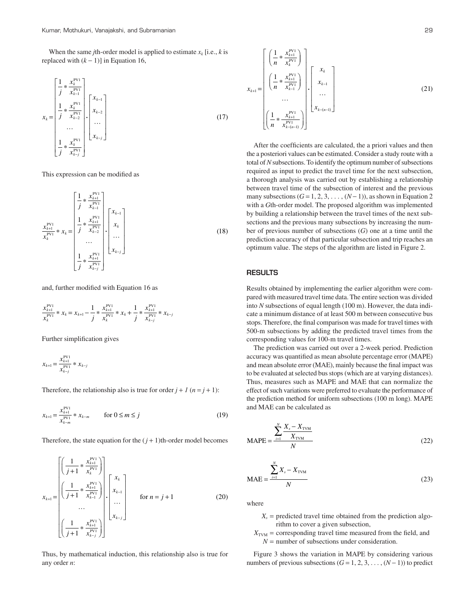When the same *j*th-order model is applied to estimate  $x_k$  [i.e., *k* is replaced with  $(k - 1)$ ] in Equation 16,

$$
x_{k} = \begin{bmatrix} \frac{1}{j} * \frac{x_{k}^{\text{PV1}}}{x_{k-1}^{\text{PV1}}} \\ \frac{1}{j} * \frac{x_{k}^{\text{PV1}}}{x_{k-2}^{\text{PV1}}} \\ \cdots \\ \frac{1}{j} * \frac{x_{k}^{\text{PV1}}}{x_{k-j}^{\text{PV1}}} \end{bmatrix} \begin{bmatrix} x_{k-1} \\ x_{k-2} \\ \cdots \\ x_{k-j} \end{bmatrix}
$$
(17)

This expression can be modified as

$$
\frac{x_{k+1}^{\text{PVI}}}{\frac{x_{k}^{\text{PVI}}}{\frac{x_{k+1}^{\text{PVI}}}{\frac{x_{k+1}^{\text{PVI}}}{\frac{x_{k+1}^{\text{PVI}}}{\frac{x_{k+1}^{\text{PVI}}}{\frac{x_{k+1}^{\text{PVI}}}{\frac{x_{k+1}^{\text{PVI}}}{\frac{x_{k+1}^{\text{PVI}}}{\frac{x_{k+1}^{\text{PVI}}}{\frac{x_{k+1}^{\text{PVI}}}{\frac{x_{k+1}^{\text{PVI}}}{\frac{x_{k+1}^{\text{PVI}}}{\frac{x_{k+1}^{\text{PVI}}}{\frac{x_{k+1}^{\text{PVI}}}{\frac{x_{k+1}^{\text{PVI}}}{\frac{x_{k+1}^{\text{PVI}}}{\frac{x_{k+1}^{\text{PVI}}}{\frac{x_{k+1}^{\text{PVI}}}{\frac{x_{k+1}^{\text{PVI}}}{\frac{x_{k+1}^{\text{PVI}}}{\frac{x_{k+1}^{\text{PVI}}}{\frac{x_{k+1}^{\text{PVI}}}{\frac{x_{k+1}^{\text{PVI}}}{\frac{x_{k+1}^{\text{PVI}}}{\frac{x_{k+1}^{\text{PVI}}}{\frac{x_{k+1}^{\text{PVI}}}{\frac{x_{k+1}^{\text{PVI}}}{\frac{x_{k+1}^{\text{PVI}}}{\frac{x_{k+1}^{\text{PVI}}}{\frac{x_{k+1}^{\text{PVI}}}{\frac{x_{k+1}^{\text{PVI}}}{\frac{x_{k+1}^{\text{PVI}}}{\frac{x_{k+1}^{\text{PVI}}}{\frac{x_{k+1}^{\text{PVI}}}{\frac{x_{k+1}^{\text{PVI}}}{\frac{x_{k+1}^{\text{PVI}}}{\frac{x_{k+1}^{\text{PVI}}}{\frac{x_{k+1}^{\text{PVI}}}{\frac{x_{k+1}^{\text{PVI}}}{\frac{x_{k+1}^{\text{PVI}}}{\frac{x_{k+1}^{\text{PVI}}}{\frac{x_{k+1}^{\text{PVI}}}{\frac{x_{k+1}^{\text{PVI}}}{\frac{x_{k+1}^{\text{PVI}}}{\frac{x_{k+1}^{\text{PVI}}}{\frac{x_{k+1}^{\text{PVI}}}{\frac{x_{k+1}^{\
$$

and, further modified with Equation 16 as

$$
\frac{x_{k+1}^{\text{PV1}}}{x_k^{\text{PV1}}} * x_k = x_{k+1} - \frac{1}{j} * \frac{x_{k+1}^{\text{PV1}}}{x_k^{\text{PV1}}} * x_k + \frac{1}{j} * \frac{x_{k+1}^{\text{PV1}}}{x_{k-j}^{\text{PV1}}} * x_{k-j}
$$

Further simplification gives

$$
x_{k+1} = \frac{x_{k+1}^{\text{PV1}}}{x_{k-j}^{\text{PV1}}} * x_{k-j}
$$

Therefore, the relationship also is true for order  $j + 1$  ( $n = j + 1$ ):

$$
x_{k+1} = \frac{x_{k+1}^{\text{PV1}}}{x_{k-m}^{\text{PV1}}} * x_{k-m} \qquad \text{for } 0 \le m \le j \tag{19}
$$

Therefore, the state equation for the  $(j + 1)$ th-order model becomes

$$
x_{k+1} = \begin{bmatrix} \left( \frac{1}{j+1} * \frac{x_{k+1}^{PV1}}{x_k^{PV1}} \right) \\ \left( \frac{1}{j+1} * \frac{x_{k+1}^{PV1}}{x_{k-1}^{PV1}} \right) \\ \cdots \\ \left( \frac{1}{j+1} * \frac{x_{k+1}^{PV1}}{x_{k-j}^{PV1}} \right) \end{bmatrix} \begin{bmatrix} x_k \\ x_{k-1} \\ \cdots \\ x_{k-j} \end{bmatrix} \quad \text{for } n = j+1 \tag{20}
$$

Thus, by mathematical induction, this relationship also is true for any order *n*:

$$
x_{k+1} = \begin{bmatrix} \left(\frac{1}{n} * \frac{x_{k+1}^{\text{PV1}}}{x_k^{\text{PV1}}}\right) \\ \left(\frac{1}{n} * \frac{x_{k+1}^{\text{PV1}}}{x_{k-1}^{\text{PV1}}}\right) \\ \cdots \\ \left(\frac{1}{n} * \frac{x_{k+1}^{\text{PV1}}}{x_{k-(n-1)}^{\text{PV1}}}\right) \end{bmatrix} \cdot \begin{bmatrix} x_k \\ x_{k-1} \\ \cdots \\ x_{k-(n-1)} \end{bmatrix} \qquad (21)
$$

After the coefficients are calculated, the a priori values and then the a posteriori values can be estimated. Consider a study route with a total of *N* subsections. To identify the optimum number of subsections required as input to predict the travel time for the next subsection, a thorough analysis was carried out by establishing a relationship between travel time of the subsection of interest and the previous many subsections  $(G = 1, 2, 3, \ldots, (N-1))$ , as shown in Equation 2 with a *G*th-order model. The proposed algorithm was implemented by building a relationship between the travel times of the next subsections and the previous many subsections by increasing the number of previous number of subsections (*G*) one at a time until the prediction accuracy of that particular subsection and trip reaches an optimum value. The steps of the algorithm are listed in Figure 2.

## **RESULTS**

Results obtained by implementing the earlier algorithm were compared with measured travel time data. The entire section was divided into *N* subsections of equal length (100 m). However, the data indicate a minimum distance of at least 500 m between consecutive bus stops. Therefore, the final comparison was made for travel times with 500-m subsections by adding the predicted travel times from the corresponding values for 100-m travel times.

The prediction was carried out over a 2-week period. Prediction accuracy was quantified as mean absolute percentage error (MAPE) and mean absolute error (MAE), mainly because the final impact was to be evaluated at selected bus stops (which are at varying distances). Thus, measures such as MAPE and MAE that can normalize the effect of such variations were preferred to evaluate the performance of the prediction method for uniform subsections (100 m long). MAPE and MAE can be calculated as

$$
MAPE = \frac{\sum_{i=1}^{N} \frac{X_s - X_{TVM}}{X_{TVM}}}{N}
$$
 (22)

$$
MAE = \frac{\sum_{i=1}^{N} X_s - X_{TVM}}{N}
$$
 (23)

where

- $X<sub>s</sub>$  = predicted travel time obtained from the prediction algorithm to cover a given subsection,
- $X<sub>TVM</sub>$  = corresponding travel time measured from the field, and  $N =$  number of subsections under consideration.

Figure 3 shows the variation in MAPE by considering various numbers of previous subsections  $(G = 1, 2, 3, \ldots, (N - 1))$  to predict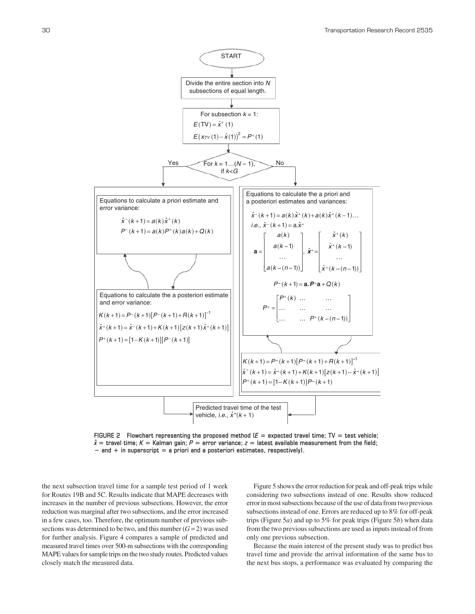

FIGURE 2 Flowchart representing the proposed method  $(E =$  expected travel time; TV = test vehicle;  $\hat{x}$  = travel time;  $K$  = Kalman gain;  $P$  = error variance;  $z$  = latest available measurement from the field;  $-$  and  $+$  in superscript  $=$  a priori and a posteriori estimates, respectively).

the next subsection travel time for a sample test period of 1 week for Routes 19B and 5C. Results indicate that MAPE decreases with increases in the number of previous subsections. However, the error reduction was marginal after two subsections, and the error increased in a few cases, too. Therefore, the optimum number of previous subsections was determined to be two, and this number  $(G = 2)$  was used for further analysis. Figure 4 compares a sample of predicted and measured travel times over 500-m subsections with the corresponding MAPE values for sample trips on the two study routes. Predicted values closely match the measured data.

Figure 5 shows the error reduction for peak and off-peak trips while considering two subsections instead of one. Results show reduced error in most subsections because of the use of data from two previous subsections instead of one. Errors are reduced up to 8% for off-peak trips (Figure 5*a*) and up to 5% for peak trips (Figure 5*b*) when data from the two previous subsections are used as inputs instead of from only one previous subsection.

Because the main interest of the present study was to predict bus travel time and provide the arrival information of the same bus to the next bus stops, a performance was evaluated by comparing the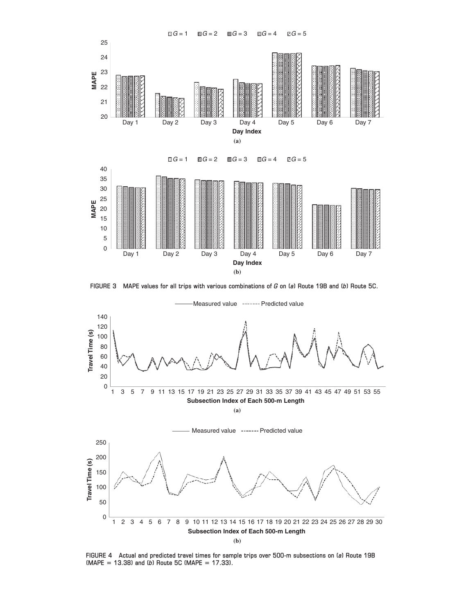

**FIGURE 3** MAPE values for all trips with various combinations of *G* on (*a*) Route 19B and (*b*) Route 5C.



**(b)**

**FIGURE 4 Actual and predicted travel times for sample trips over 500-m subsections on (***a***) Route 19B**   $(MAPE = 13.38)$  and  $(b)$  Route 5C (MAPE = 17.33).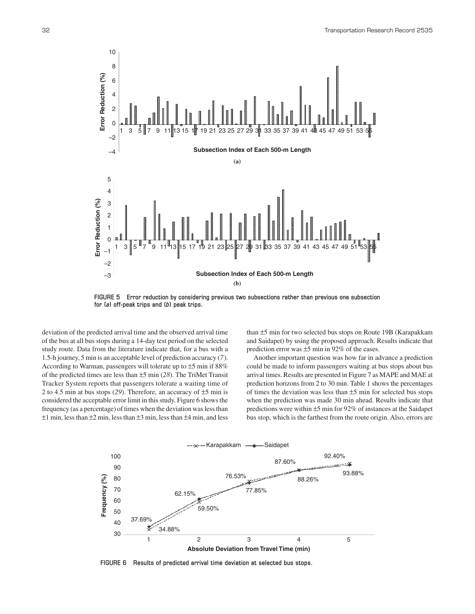

**FIGURE 5 Error reduction by considering previous two subsections rather than previous one subsection for (***a***) off-peak trips and (***b***) peak trips.**

deviation of the predicted arrival time and the observed arrival time of the bus at all bus stops during a 14-day test period on the selected study route. Data from the literature indicate that, for a bus with a 1.5-h journey, 5 min is an acceptable level of prediction accuracy (*7*). According to Warman, passengers will tolerate up to ±5 min if 88% of the predicted times are less than ±5 min (*28*). The TriMet Transit Tracker System reports that passengers tolerate a waiting time of 2 to 4.5 min at bus stops (*29*). Therefore, an accuracy of ±5 min is considered the acceptable error limit in this study. Figure 6 shows the frequency (as a percentage) of times when the deviation was less than  $\pm 1$  min, less than  $\pm 2$  min, less than  $\pm 3$  min, less than  $\pm 4$  min, and less

than ±5 min for two selected bus stops on Route 19B (Karapakkam and Saidapet) by using the proposed approach. Results indicate that prediction error was ±5 min in 92% of the cases.

Another important question was how far in advance a prediction could be made to inform passengers waiting at bus stops about bus arrival times. Results are presented in Figure 7 as MAPE and MAE at prediction horizons from 2 to 30 min. Table 1 shows the percentages of times the deviation was less than ±5 min for selected bus stops when the prediction was made 30 min ahead. Results indicate that predictions were within  $\pm$ 5 min for 92% of instances at the Saidapet bus stop, which is the farthest from the route origin. Also, errors are



**FIGURE 6 Results of predicted arrival time deviation at selected bus stops.**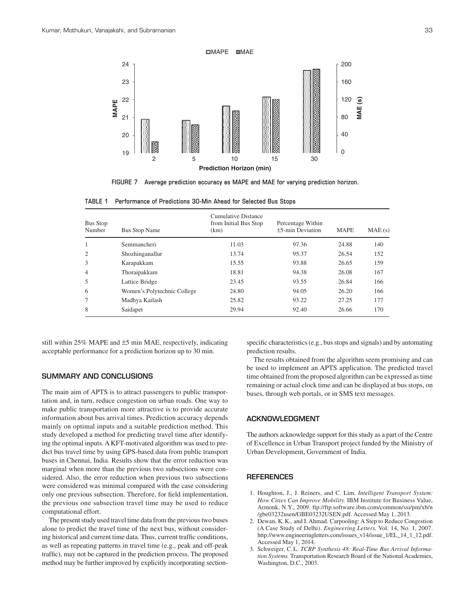

**FIGURE 7 Average prediction accuracy as MAPE and MAE for varying prediction horizon.**

| <b>Bus Stop</b><br>Number | Bus Stop Name               | Cumulative Distance<br>from Initial Bus Stop<br>(km) | Percentage Within<br>$\pm$ 5-min Deviation | <b>MAPE</b> | MAE(s) |
|---------------------------|-----------------------------|------------------------------------------------------|--------------------------------------------|-------------|--------|
| 1                         | Semmancheri                 | 11.03                                                | 97.36                                      | 24.88       | 140    |
| 2                         | Shozhinganallur             | 13.74                                                | 95.37                                      | 26.54       | 152    |
| 3                         | Karapakkam                  | 15.55                                                | 93.88                                      | 26.65       | 159    |
| $\overline{4}$            | Thoraipakkam                | 18.81                                                | 94.38                                      | 26.08       | 167    |
| 5                         | Lattice Bridge              | 23.45                                                | 93.55                                      | 26.84       | 166    |
| 6                         | Women's Polytechnic College | 24.80                                                | 94.05                                      | 26.20       | 166    |
| 7                         | Madhya Kailash              | 25.82                                                | 93.22                                      | 27.25       | 177    |
| 8                         | Saidapet                    | 29.94                                                | 92.40                                      | 26.66       | 170    |

**TABLE 1 Performance of Predictions 30-Min Ahead for Selected Bus Stops**

still within 25% MAPE and ±5 min MAE, respectively, indicating acceptable performance for a prediction horizon up to 30 min.

## SUMMARY AND CONCLUSIONS

The main aim of APTS is to attract passengers to public transportation and, in turn, reduce congestion on urban roads. One way to make public transportation more attractive is to provide accurate information about bus arrival times. Prediction accuracy depends mainly on optimal inputs and a suitable prediction method. This study developed a method for predicting travel time after identifying the optimal inputs. A KFT-motivated algorithm was used to predict bus travel time by using GPS-based data from public transport buses in Chennai, India. Results show that the error reduction was marginal when more than the previous two subsections were considered. Also, the error reduction when previous two subsections were considered was minimal compared with the case considering only one previous subsection. Therefore, for field implementation, the previous one subsection travel time may be used to reduce computational effort.

The present study used travel time data from the previous two buses alone to predict the travel time of the next bus, without considering historical and current time data. Thus, current traffic conditions, as well as repeating patterns in travel time (e.g., peak and off-peak traffic), may not be captured in the prediction process. The proposed method may be further improved by explicitly incorporating section-

specific characteristics (e.g., bus stops and signals) and by automating prediction results.

The results obtained from the algorithm seem promising and can be used to implement an APTS application. The predicted travel time obtained from the proposed algorithm can be expressed as time remaining or actual clock time and can be displayed at bus stops, on buses, through web portals, or in SMS text messages.

## ACKNOWLEDGMENT

The authors acknowledge support for this study as a part of the Centre of Excellence in Urban Transport project funded by the Ministry of Urban Development, Government of India.

#### **REFERENCES**

- 1. Houghton, J., J. Reiners, and C. Lim. *Intelligent Transport System: How Cities Can Improve Mobility.* IBM Institute for Business Value, Armonk, N.Y., 2009. ftp://ftp.software.ibm.com/common/ssi/pm/xb/n /gbe03232usen/GBE03232USEN.pdf. Accessed May 1, 2013.
- 2. Dewan, K. K., and I. Ahmad. Carpooling: A Step to Reduce Congestion (A Case Study of Delhi). *Engineering Letters,* Vol. 14, No. 1, 2007. http://www.engineeringletters.com/issues\_v14/issue\_1/EL\_14\_1\_12.pdf. Accessed May 1, 2014.
- 3. Schweiger, C. L. *TCRP Synthesis 48: Real-Time Bus Arrival Information Systems.* Transportation Research Board of the National Academies, Washington, D.C., 2003.